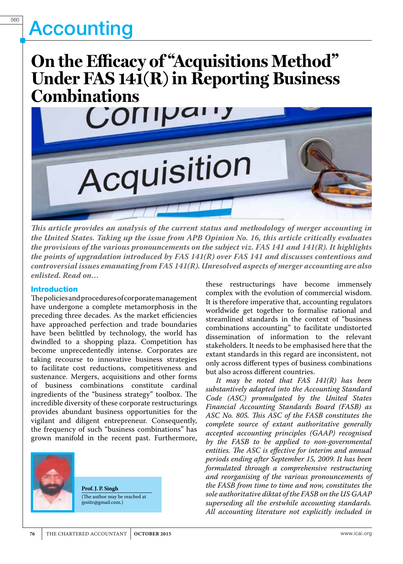## **On the Efficacy of "Acquisitions Method" Under FAS 141(R) in Reporting Business Combinations**



*This article provides an analysis of the current status and methodology of merger accounting in the United States. Taking up the issue from APB Opinion No. 16, this article critically evaluates the provisions of the various pronouncements on the subject viz. FAS 141 and 141(R). It highlights the points of upgradation introduced by FAS 141(R) over FAS 141 and discusses contentious and controversial issues emanating from FAS 141(R). Unresolved aspects of merger accounting are also enlisted. Read on…*

### Introduction

The policies and procedures of corporate management have undergone a complete metamorphosis in the preceding three decades. As the market efficiencies have approached perfection and trade boundaries have been belittled by technology, the world has dwindled to a shopping plaza. Competition has become unprecedentedly intense. Corporates are taking recourse to innovative business strategies to facilitate cost reductions, competitiveness and sustenance. Mergers, acquisitions and other forms of business combinations constitute cardinal ingredients of the "business strategy" toolbox. The incredible diversity of these corporate restructurings provides abundant business opportunities for the vigilant and diligent entrepreneur. Consequently, the frequency of such "business combinations" has grown manifold in the recent past. Furthermore,



**Prof. J. P. Singh** (The author may be reached at jpsiitr@gmail.com.)

these restructurings have become immensely complex with the evolution of commercial wisdom. It is therefore imperative that, accounting regulators worldwide get together to formalise rational and streamlined standards in the context of "business combinations accounting" to facilitate undistorted dissemination of information to the relevant stakeholders. It needs to be emphasised here that the extant standards in this regard are inconsistent, not only across different types of business combinations but also across different countries.

*It may be noted that FAS 141(R) has been substantively adapted into the Accounting Standard Code (ASC) promulgated by the United States Financial Accounting Standards Board (FASB) as ASC No. 805. This ASC of the FASB constitutes the complete source of extant authoritative generally accepted accounting principles (GAAP) recognised by the FASB to be applied to non-governmental entities. The ASC is effective for interim and annual periods ending after September 15, 2009. It has been formulated through a comprehensive restructuring and reorganising of the various pronouncements of the FASB from time to time and now, constitutes the sole authoritative diktat of the FASB on the US GAAP superseding all the erstwhile accounting standards. All accounting literature not explicitly included in*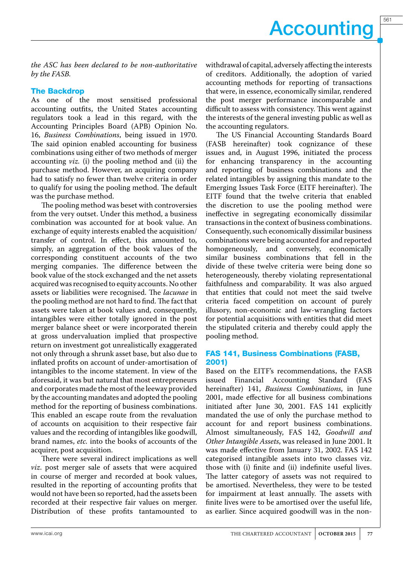*the ASC has been declared to be non-authoritative by the FASB.*

### The Backdrop

As one of the most sensitised professional accounting outfits, the United States accounting regulators took a lead in this regard, with the Accounting Principles Board (APB) Opinion No. 16, *Business Combinations*, being issued in 1970. The said opinion enabled accounting for business combinations using either of two methods of merger accounting *viz.* (i) the pooling method and (ii) the purchase method. However, an acquiring company had to satisfy no fewer than twelve criteria in order to qualify for using the pooling method. The default was the purchase method.

The pooling method was beset with controversies from the very outset. Under this method, a business combination was accounted for at book value. An exchange of equity interests enabled the acquisition/ transfer of control. In effect, this amounted to, simply, an aggregation of the book values of the corresponding constituent accounts of the two merging companies. The difference between the book value of the stock exchanged and the net assets acquired was recognised to equity accounts. No other assets or liabilities were recognised. The *lacunae* in the pooling method are not hard to find. The fact that assets were taken at book values and, consequently, intangibles were either totally ignored in the post merger balance sheet or were incorporated therein at gross undervaluation implied that prospective return on investment got unrealistically exaggerated not only through a shrunk asset base, but also due to inflated profits on account of under-amortisation of intangibles to the income statement. In view of the aforesaid, it was but natural that most entrepreneurs and corporates made the most of the leeway provided by the accounting mandates and adopted the pooling method for the reporting of business combinations. This enabled an escape route from the revaluation of accounts on acquisition to their respective fair values and the recording of intangibles like goodwill, brand names, *etc.* into the books of accounts of the acquirer, post acquisition.

There were several indirect implications as well *viz*. post merger sale of assets that were acquired in course of merger and recorded at book values, resulted in the reporting of accounting profits that would not have been so reported, had the assets been recorded at their respective fair values on merger. Distribution of these profits tantamounted to

withdrawal of capital, adversely affecting the interests of creditors. Additionally, the adoption of varied accounting methods for reporting of transactions that were, in essence, economically similar, rendered the post merger performance incomparable and difficult to assess with consistency. This went against the interests of the general investing public as well as the accounting regulators.

The US Financial Accounting Standards Board (FASB hereinafter) took cognizance of these issues and, in August 1996, initiated the process for enhancing transparency in the accounting and reporting of business combinations and the related intangibles by assigning this mandate to the Emerging Issues Task Force (EITF hereinafter). The EITF found that the twelve criteria that enabled the discretion to use the pooling method were ineffective in segregating economically dissimilar transactions in the context of business combinations. Consequently, such economically dissimilar business combinations were being accounted for and reported homogeneously, and conversely, economically similar business combinations that fell in the divide of these twelve criteria were being done so heterogeneously, thereby violating representational faithfulness and comparability. It was also argued that entities that could not meet the said twelve criteria faced competition on account of purely illusory, non-economic and law-wrangling factors for potential acquisitions with entities that did meet the stipulated criteria and thereby could apply the pooling method.

## FAS 141, Business Combinations (FASB, 2001)

Based on the EITF's recommendations, the FASB issued Financial Accounting Standard (FAS hereinafter) 141, *Business Combinations*, in June 2001, made effective for all business combinations initiated after June 30, 2001. FAS 141 explicitly mandated the use of only the purchase method to account for and report business combinations. Almost simultaneously, FAS 142, *Goodwill and Other Intangible Assets*, was released in June 2001. It was made effective from January 31, 2002. FAS 142 categorised intangible assets into two classes viz. those with (i) finite and (ii) indefinite useful lives. The latter category of assets was not required to be amortised. Nevertheless, they were to be tested for impairment at least annually. The assets with finite lives were to be amortised over the useful life, as earlier. Since acquired goodwill was in the non-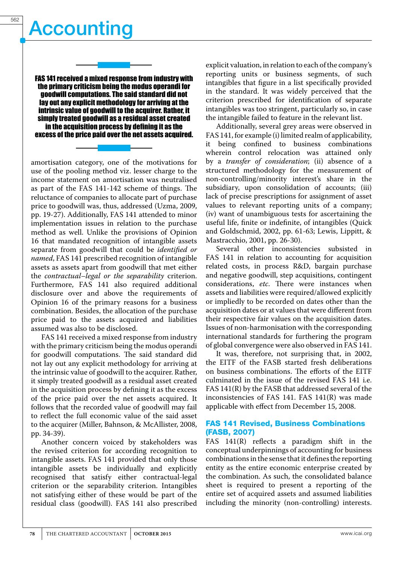FAS 141 received a mixed response from industry with the primary criticism being the modus operandi for goodwill computations. The said standard did not lay out any explicit methodology for arriving at the intrinsic value of goodwill to the acquirer. Rather, it simply treated goodwill as a residual asset created in the acquisition process by defining it as the excess of the price paid over the net assets acquired.

amortisation category, one of the motivations for use of the pooling method viz. lesser charge to the income statement on amortisation was neutralised as part of the FAS 141-142 scheme of things. The reluctance of companies to allocate part of purchase price to goodwill was, thus, addressed (Uzma, 2009, pp. 19-27). Additionally, FAS 141 attended to minor implementation issues in relation to the purchase method as well. Unlike the provisions of Opinion 16 that mandated recognition of intangible assets separate from goodwill that could be *identified or named*, FAS 141 prescribed recognition of intangible assets as assets apart from goodwill that met either the *contractual–legal or the separability* criterion. Furthermore, FAS 141 also required additional disclosure over and above the requirements of Opinion 16 of the primary reasons for a business combination. Besides, the allocation of the purchase price paid to the assets acquired and liabilities assumed was also to be disclosed.

FAS 141 received a mixed response from industry with the primary criticism being the modus operandi for goodwill computations. The said standard did not lay out any explicit methodology for arriving at the intrinsic value of goodwill to the acquirer. Rather, it simply treated goodwill as a residual asset created in the acquisition process by defining it as the excess of the price paid over the net assets acquired. It follows that the recorded value of goodwill may fail to reflect the full economic value of the said asset to the acquirer (Miller, Bahnson, & McAllister, 2008, pp. 34-39).

Another concern voiced by stakeholders was the revised criterion for according recognition to intangible assets. FAS 141 provided that only those intangible assets be individually and explicitly recognised that satisfy either contractual-legal criterion or the separability criterion. Intangibles not satisfying either of these would be part of the residual class (goodwill). FAS 141 also prescribed explicit valuation, in relation to each of the company's reporting units or business segments, of such intangibles that figure in a list specifically provided in the standard. It was widely perceived that the criterion prescribed for identification of separate intangibles was too stringent, particularly so, in case the intangible failed to feature in the relevant list.

Additionally, several grey areas were observed in FAS 141, for example (i) limited realm of applicability, it being confined to business combinations wherein control relocation was attained only by a *transfer of consideration*; (ii) absence of a structured methodology for the measurement of non-controlling/minority interest's share in the subsidiary, upon consolidation of accounts; (iii) lack of precise prescriptions for assignment of asset values to relevant reporting units of a company; (iv) want of unambiguous tests for ascertaining the useful life, finite or indefinite, of intangibles (Quick and Goldschmid, 2002, pp. 61-63; Lewis, Lippitt, & Mastracchio, 2001, pp. 26-30).

Several other inconsistencies subsisted in FAS 141 in relation to accounting for acquisition related costs, in process R&D, bargain purchase and negative goodwill, step acquisitions, contingent considerations, *etc*. There were instances when assets and liabilities were required/allowed explicitly or impliedly to be recorded on dates other than the acquisition dates or at values that were different from their respective fair values on the acquisition dates. Issues of non-harmonisation with the corresponding international standards for furthering the program of global convergence were also observed in FAS 141.

It was, therefore, not surprising that, in 2002, the EITF of the FASB started fresh deliberations on business combinations. The efforts of the EITF culminated in the issue of the revised FAS 141 i.e. FAS 141(R) by the FASB that addressed several of the inconsistencies of FAS 141. FAS 141(R) was made applicable with effect from December 15, 2008.

## FAS 141 Revised, Business Combinations (FASB, 2007)

FAS 141(R) reflects a paradigm shift in the conceptual underpinnings of accounting for business combinations in the sense that it defines the reporting entity as the entire economic enterprise created by the combination. As such, the consolidated balance sheet is required to present a reporting of the entire set of acquired assets and assumed liabilities including the minority (non-controlling) interests.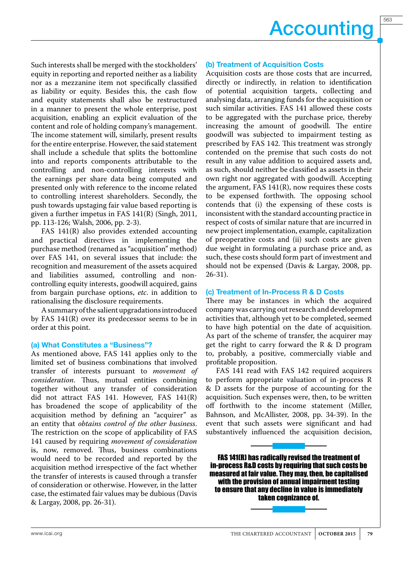563

Such interests shall be merged with the stockholders' equity in reporting and reported neither as a liability nor as a mezzanine item not specifically classified as liability or equity. Besides this, the cash flow and equity statements shall also be restructured in a manner to present the whole enterprise, post acquisition, enabling an explicit evaluation of the content and role of holding company's management. The income statement will, similarly, present results for the entire enterprise. However, the said statement shall include a schedule that splits the bottomline into and reports components attributable to the controlling and non-controlling interests with the earnings per share data being computed and presented only with reference to the income related to controlling interest shareholders. Secondly, the push towards upstaging fair value based reporting is given a further impetus in FAS 141(R) (Singh, 2011, pp. 113-126; Walsh, 2006, pp. 2-3).

FAS 141(R) also provides extended accounting and practical directives in implementing the purchase method (renamed as "acquisition" method) over FAS 141, on several issues that include: the recognition and measurement of the assets acquired and liabilities assumed, controlling and noncontrolling equity interests, goodwill acquired, gains from bargain purchase options, *etc*. in addition to rationalising the disclosure requirements.

A summary of the salient upgradations introduced by FAS 141(R) over its predecessor seems to be in order at this point.

### (a) What Constitutes a "Business"?

As mentioned above, FAS 141 applies only to the limited set of business combinations that involved transfer of interests pursuant to *movement of consideration*. Thus, mutual entities combining together without any transfer of consideration did not attract FAS 141. However, FAS 141(R) has broadened the scope of applicability of the acquisition method by defining an "acquirer" as an entity that *obtains control of the other business*. The restriction on the scope of applicability of FAS 141 caused by requiring *movement of consideration* is, now, removed. Thus, business combinations would need to be recorded and reported by the acquisition method irrespective of the fact whether the transfer of interests is caused through a transfer of consideration or otherwise. However, in the latter case, the estimated fair values may be dubious (Davis & Largay, 2008, pp. 26-31).

### (b) Treatment of Acquisition Costs

Acquisition costs are those costs that are incurred, directly or indirectly, in relation to identification of potential acquisition targets, collecting and analysing data, arranging funds for the acquisition or such similar activities. FAS 141 allowed these costs to be aggregated with the purchase price, thereby increasing the amount of goodwill. The entire goodwill was subjected to impairment testing as prescribed by FAS 142. This treatment was strongly contended on the premise that such costs do not result in any value addition to acquired assets and, as such, should neither be classified as assets in their own right nor aggregated with goodwill. Accepting the argument, FAS  $141(R)$ , now requires these costs to be expensed forthwith. The opposing school contends that (i) the expensing of these costs is inconsistent with the standard accounting practice in respect of costs of similar nature that are incurred in new project implementation, example, capitalization of preoperative costs and (ii) such costs are given due weight in formulating a purchase price and, as such, these costs should form part of investment and should not be expensed (Davis & Largay, 2008, pp. 26-31).

### (c) Treatment of In-Process R & D Costs

There may be instances in which the acquired company was carrying out research and development activities that, although yet to be completed, seemed to have high potential on the date of acquisition. As part of the scheme of transfer, the acquirer may get the right to carry forward the R & D program to, probably, a positive, commercially viable and profitable proposition.

FAS 141 read with FAS 142 required acquirers to perform appropriate valuation of in-process R & D assets for the purpose of accounting for the acquisition. Such expenses were, then, to be written off forthwith to the income statement (Miller, Bahnson, and McAllister, 2008, pp. 34-39). In the event that such assets were significant and had substantively influenced the acquisition decision,

FAS 141(R) has radically revised the treatment of in-process R&D costs by requiring that such costs be measured at fair value. They may, then, be capitalised with the provision of annual impairment testing to ensure that any decline in value is immediately taken cognizance of.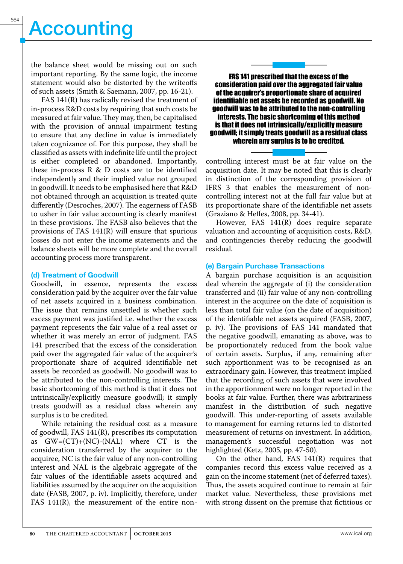the balance sheet would be missing out on such important reporting. By the same logic, the income statement would also be distorted by the writeoffs of such assets (Smith & Saemann, 2007, pp. 16-21).

FAS 141(R) has radically revised the treatment of in-process R&D costs by requiring that such costs be measured at fair value. They may, then, be capitalised with the provision of annual impairment testing to ensure that any decline in value is immediately taken cognizance of. For this purpose, they shall be classified as assets with indefinite life until the project is either completed or abandoned. Importantly, these in-process R & D costs are to be identified independently and their implied value not grouped in goodwill. It needs to be emphasised here that R&D not obtained through an acquisition is treated quite differently (Desroches, 2007). The eagerness of FASB to usher in fair value accounting is clearly manifest in these provisions. The FASB also believes that the provisions of FAS 141(R) will ensure that spurious losses do not enter the income statements and the balance sheets will be more complete and the overall accounting process more transparent.

### (d) Treatment of Goodwill

Goodwill, in essence, represents the excess consideration paid by the acquirer over the fair value of net assets acquired in a business combination. The issue that remains unsettled is whether such excess payment was justified i.e. whether the excess payment represents the fair value of a real asset or whether it was merely an error of judgment. FAS 141 prescribed that the excess of the consideration paid over the aggregated fair value of the acquirer's proportionate share of acquired identifiable net assets be recorded as goodwill. No goodwill was to be attributed to the non-controlling interests. The basic shortcoming of this method is that it does not intrinsically/explicitly measure goodwill; it simply treats goodwill as a residual class wherein any surplus is to be credited.

While retaining the residual cost as a measure of goodwill, FAS 141(R), prescribes its computation as  $GW=(CT)+(NC)-(NAL)$  where  $CT$  is the consideration transferred by the acquirer to the acquiree, NC is the fair value of any non-controlling interest and NAL is the algebraic aggregate of the fair values of the identifiable assets acquired and liabilities assumed by the acquirer on the acquisition date (FASB, 2007, p. iv). Implicitly, therefore, under FAS 141(R), the measurement of the entire non-



FAS 141 prescribed that the excess of the consideration paid over the aggregated fair value of the acquirer's proportionate share of acquired identifiable net assets be recorded as goodwill. No goodwill was to be attributed to the non-controlling interests. The basic shortcoming of this method is that it does not intrinsically/explicitly measure goodwill; it simply treats goodwill as a residual class wherein any surplus is to be credited.

controlling interest must be at fair value on the acquisition date. It may be noted that this is clearly in distinction of the corresponding provision of IFRS 3 that enables the measurement of noncontrolling interest not at the full fair value but at its proportionate share of the identifiable net assets (Graziano & Heffes, 2008, pp. 34-41).

However, FAS 141(R) does require separate valuation and accounting of acquisition costs, R&D, and contingencies thereby reducing the goodwill residual.

### (e) Bargain Purchase Transactions

A bargain purchase acquisition is an acquisition deal wherein the aggregate of (i) the consideration transferred and (ii) fair value of any non-controlling interest in the acquiree on the date of acquisition is less than total fair value (on the date of acquisition) of the identifiable net assets acquired (FASB, 2007, p. iv). The provisions of FAS 141 mandated that the negative goodwill, emanating as above, was to be proportionately reduced from the book value of certain assets. Surplus, if any, remaining after such apportionment was to be recognised as an extraordinary gain. However, this treatment implied that the recording of such assets that were involved in the apportionment were no longer reported in the books at fair value. Further, there was arbitrariness manifest in the distribution of such negative goodwill. This under-reporting of assets available to management for earning returns led to distorted measurement of returns on investment. In addition, management's successful negotiation was not highlighted (Ketz, 2005, pp. 47-50).

On the other hand, FAS 141(R) requires that companies record this excess value received as a gain on the income statement (net of deferred taxes). Thus, the assets acquired continue to remain at fair market value. Nevertheless, these provisions met with strong dissent on the premise that fictitious or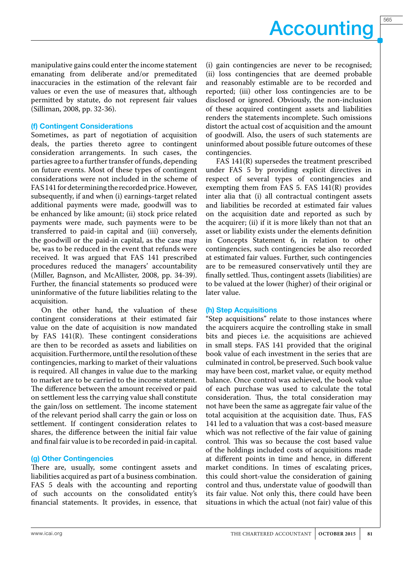565

manipulative gains could enter the income statement emanating from deliberate and/or premeditated inaccuracies in the estimation of the relevant fair values or even the use of measures that, although permitted by statute, do not represent fair values (Silliman, 2008, pp. 32-36).

## (f) Contingent Considerations

Sometimes, as part of negotiation of acquisition deals, the parties thereto agree to contingent consideration arrangements. In such cases, the parties agree to a further transfer of funds, depending on future events. Most of these types of contingent considerations were not included in the scheme of FAS 141 for determining the recorded price. However, subsequently, if and when (i) earnings-target related additional payments were made, goodwill was to be enhanced by like amount; (ii) stock price related payments were made, such payments were to be transferred to paid-in capital and (iii) conversely, the goodwill or the paid-in capital, as the case may be, was to be reduced in the event that refunds were received. It was argued that FAS 141 prescribed procedures reduced the managers' accountability (Miller, Bagnson, and McAllister, 2008, pp. 34-39). Further, the financial statements so produced were uninformative of the future liabilities relating to the acquisition.

On the other hand, the valuation of these contingent considerations at their estimated fair value on the date of acquisition is now mandated by FAS 141(R). These contingent considerations are then to be recorded as assets and liabilities on acquisition. Furthermore, until the resolution of these contingencies, marking to market of their valuations is required. All changes in value due to the marking to market are to be carried to the income statement. The difference between the amount received or paid on settlement less the carrying value shall constitute the gain/loss on settlement. The income statement of the relevant period shall carry the gain or loss on settlement. If contingent consideration relates to shares, the difference between the initial fair value and final fair value is to be recorded in paid-in capital.

## (g) Other Contingencies

There are, usually, some contingent assets and liabilities acquired as part of a business combination. FAS 5 deals with the accounting and reporting of such accounts on the consolidated entity's financial statements. It provides, in essence, that

(i) gain contingencies are never to be recognised; (ii) loss contingencies that are deemed probable and reasonably estimable are to be recorded and reported; (iii) other loss contingencies are to be disclosed or ignored. Obviously, the non-inclusion of these acquired contingent assets and liabilities renders the statements incomplete. Such omissions distort the actual cost of acquisition and the amount of goodwill. Also, the users of such statements are uninformed about possible future outcomes of these contingencies.

FAS 141(R) supersedes the treatment prescribed under FAS 5 by providing explicit directives in respect of several types of contingencies and exempting them from FAS 5. FAS 141(R) provides inter alia that (i) all contractual contingent assets and liabilities be recorded at estimated fair values on the acquisition date and reported as such by the acquirer; (ii) if it is more likely than not that an asset or liability exists under the elements definition in Concepts Statement 6, in relation to other contingencies, such contingencies be also recorded at estimated fair values. Further, such contingencies are to be remeasured conservatively until they are finally settled. Thus, contingent assets (liabilities) are to be valued at the lower (higher) of their original or later value.

### (h) Step Acquisitions

"Step acquisitions" relate to those instances where the acquirers acquire the controlling stake in small bits and pieces i.e. the acquisitions are achieved in small steps. FAS 141 provided that the original book value of each investment in the series that are culminated in control, be preserved. Such book value may have been cost, market value, or equity method balance. Once control was achieved, the book value of each purchase was used to calculate the total consideration. Thus, the total consideration may not have been the same as aggregate fair value of the total acquisition at the acquisition date. Thus, FAS 141 led to a valuation that was a cost-based measure which was not reflective of the fair value of gaining control. This was so because the cost based value of the holdings included costs of acquisitions made at different points in time and hence, in different market conditions. In times of escalating prices, this could short-value the consideration of gaining control and thus, understate value of goodwill than its fair value. Not only this, there could have been situations in which the actual (not fair) value of this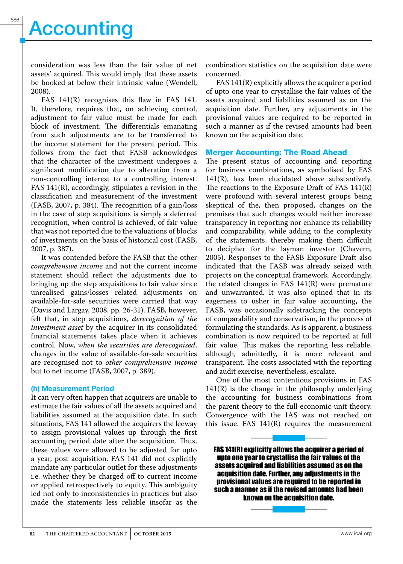consideration was less than the fair value of net assets' acquired. This would imply that these assets be booked at below their intrinsic value (Wendell, 2008).

FAS 141(R) recognises this flaw in FAS 141. It, therefore, requires that, on achieving control, adjustment to fair value must be made for each block of investment. The differentials emanating from such adjustments are to be transferred to the income statement for the present period. This follows from the fact that FASB acknowledges that the character of the investment undergoes a significant modification due to alteration from a non-controlling interest to a controlling interest. FAS 141(R), accordingly, stipulates a revision in the classification and measurement of the investment (FASB, 2007, p. 384). The recognition of a gain/loss in the case of step acquisitions is simply a deferred recognition, when control is achieved, of fair value that was not reported due to the valuations of blocks of investments on the basis of historical cost (FASB, 2007, p. 387).

It was contended before the FASB that the other *comprehensive income* and not the current income statement should reflect the adjustments due to bringing up the step acquisitions to fair value since unrealised gains/losses related adjustments on available-for-sale securities were carried that way (Davis and Largay, 2008, pp. 26-31). FASB, however, felt that, in step acquisitions, *derecognition of the investment asset* by the acquirer in its consolidated financial statements takes place when it achieves control. Now, *when the securities are derecognised*, changes in the value of available-for-sale securities are recognised not to *other comprehensive income*  but to net income (FASB, 2007, p. 389).

### (h) Measurement Period

It can very often happen that acquirers are unable to estimate the fair values of all the assets acquired and liabilities assumed at the acquisition date. In such situations, FAS 141 allowed the acquirers the leeway to assign provisional values up through the first accounting period date after the acquisition. Thus, these values were allowed to be adjusted for upto a year, post acquisition. FAS 141 did not explicitly mandate any particular outlet for these adjustments i.e. whether they be charged off to current income or applied retrospectively to equity. This ambiguity led not only to inconsistencies in practices but also made the statements less reliable insofar as the

combination statistics on the acquisition date were concerned.

FAS 141(R) explicitly allows the acquirer a period of upto one year to crystallise the fair values of the assets acquired and liabilities assumed as on the acquisition date. Further, any adjustments in the provisional values are required to be reported in such a manner as if the revised amounts had been known on the acquisition date.

### Merger Accounting: The Road Ahead

The present status of accounting and reporting for business combinations, as symbolised by FAS 141(R), has been elucidated above substantively. The reactions to the Exposure Draft of FAS 141(R) were profound with several interest groups being skeptical of the, then proposed, changes on the premises that such changes would neither increase transparency in reporting nor enhance its reliability and comparability, while adding to the complexity of the statements, thereby making them difficult to decipher for the layman investor (Chavern, 2005). Responses to the FASB Exposure Draft also indicated that the FASB was already seized with projects on the conceptual framework. Accordingly, the related changes in FAS 141(R) were premature and unwarranted. It was also opined that in its eagerness to usher in fair value accounting, the FASB, was occasionally sidetracking the concepts of comparability and conservatism, in the process of formulating the standards. As is apparent, a business combination is now required to be reported at full fair value. This makes the reporting less reliable, although, admittedly, it is more relevant and transparent. The costs associated with the reporting and audit exercise, nevertheless, escalate.

One of the most contentious provisions in FAS  $141(R)$  is the change in the philosophy underlying the accounting for business combinations from the parent theory to the full economic-unit theory. Convergence with the IAS was not reached on this issue. FAS  $141(R)$  requires the measurement

FAS 141(R) explicitly allows the acquirer a period of upto one year to crystallise the fair values of the assets acquired and liabilities assumed as on the acquisition date. Further, any adjustments in the provisional values are required to be reported in such a manner as if the revised amounts had been known on the acquisition date.